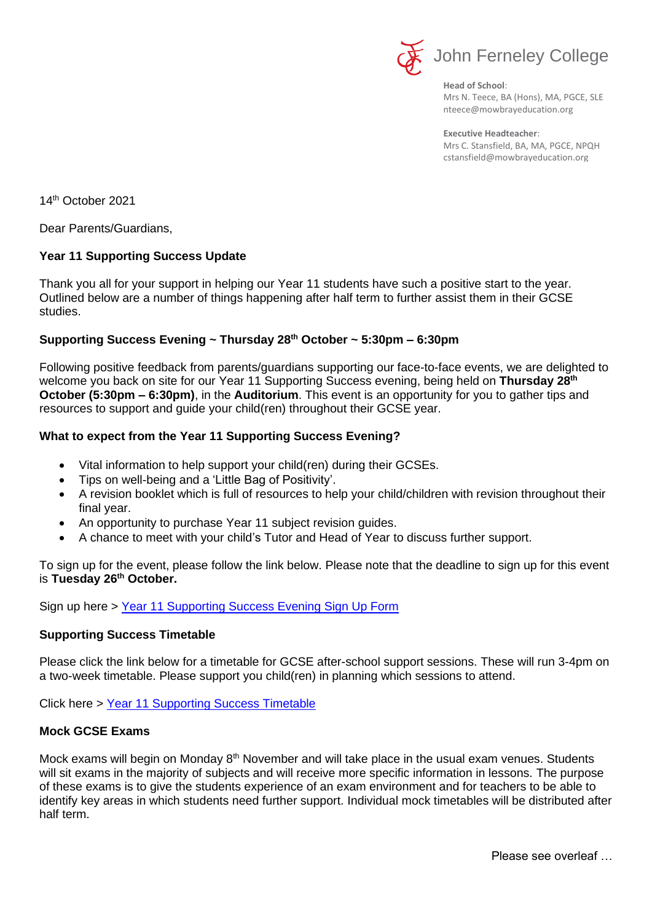

**Head of School**: Mrs N. Teece, BA (Hons), MA, PGCE, SLE nteece@mowbrayeducation.org

**Executive Headteacher**: Mrs C. Stansfield, BA, MA, PGCE, NPQH cstansfield@mowbrayeducation.org

14th October 2021

Dear Parents/Guardians,

# **Year 11 Supporting Success Update**

Thank you all for your support in helping our Year 11 students have such a positive start to the year. Outlined below are a number of things happening after half term to further assist them in their GCSE studies.

# **Supporting Success Evening ~ Thursday 28th October ~ 5:30pm – 6:30pm**

Following positive feedback from parents/guardians supporting our face-to-face events, we are delighted to welcome you back on site for our Year 11 Supporting Success evening, being held on **Thursday 28th October (5:30pm – 6:30pm)**, in the **Auditorium**. This event is an opportunity for you to gather tips and resources to support and guide your child(ren) throughout their GCSE year.

# **What to expect from the Year 11 Supporting Success Evening?**

- Vital information to help support your child(ren) during their GCSEs.
- Tips on well-being and a 'Little Bag of Positivity'.
- A revision booklet which is full of resources to help your child/children with revision throughout their final year.
- An opportunity to purchase Year 11 subject revision guides.
- A chance to meet with your child's Tutor and Head of Year to discuss further support.

To sign up for the event, please follow the link below. Please note that the deadline to sign up for this event is **Tuesday 26th October.**

Sign up here > [Year 11 Supporting Success Evening Sign Up Form](https://forms.office.com/r/SKnmsDzC6w)

# **Supporting Success Timetable**

Please click the link below for a timetable for GCSE after-school support sessions. These will run 3-4pm on a two-week timetable. Please support you child(ren) in planning which sessions to attend.

Click here > [Year 11 Supporting Success Timetable](https://www.johnferneley.org/page/?title=Year+11+supporting+success&pid=495)

# **Mock GCSE Exams**

Mock exams will begin on Monday  $8<sup>th</sup>$  November and will take place in the usual exam venues. Students will sit exams in the majority of subjects and will receive more specific information in lessons. The purpose of these exams is to give the students experience of an exam environment and for teachers to be able to identify key areas in which students need further support. Individual mock timetables will be distributed after half term.